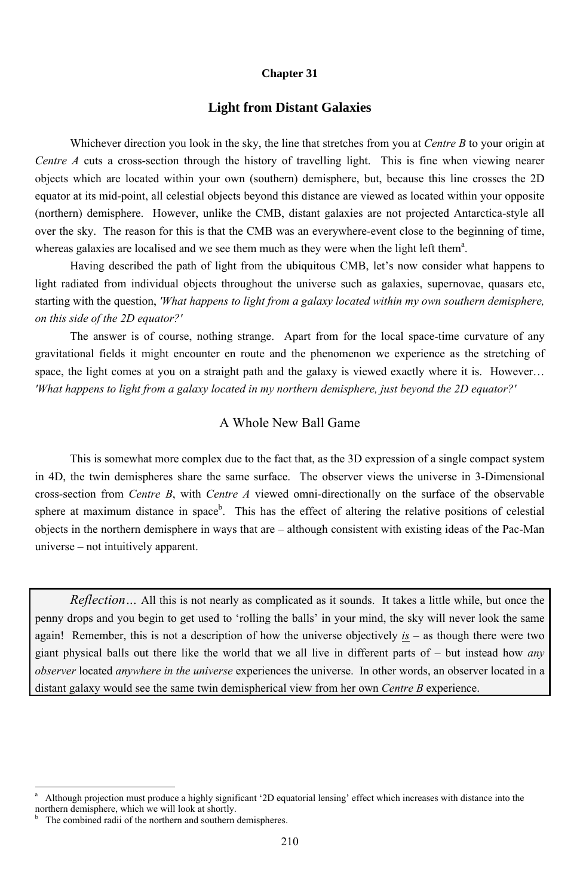### **Chapter 31**

Whichever direction you look in the sky, the line that stretches from you at *Centre B* to your origin at *Centre A* cuts a cross-section through the history of travelling light. This is fine when viewing nearer objects which are located within your own (southern) demisphere, but, because this line crosses the 2D equator at its mid-point, all celestial objects beyond this distance are viewed as located within your opposite (northern) demisphere. However, unlike the CMB, distant galaxies are not projected Antarctica-style all over the sky. The reason for this is that the CMB was an everywhere-event close to the beginning of time, whereas galaxies are localised and we see them much as they were when the light left them $a$ .

## **Light from Distant Galaxies**

Having described the path of light from the ubiquitous CMB, let's now consider what happens to light radiated from individual objects throughout the universe such as galaxies, supernovae, quasars etc, starting with the question, *'What happens to light from a galaxy located within my own southern demisphere, on this side of the 2D equator?'* 

The answer is of course, nothing strange. Apart from for the local space-time curvature of any gravitational fields it might encounter en route and the phenomenon we experience as the stretching of space, the light comes at you on a straight path and the galaxy is viewed exactly where it is. However… *'What happens to light from a galaxy located in my northern demisphere, just beyond the 2D equator?'* 

### A Whole New Ball Game

This is somewhat more complex due to the fact that, as the 3D expression of a single compact system in 4D, the twin demispheres share the same surface. The observer views the universe in 3-Dimensional cross-section from *Centre B*, with *Centre A* viewed omni-directionally on the surface of the observable sphere at maximum distance in space<sup>b</sup>. This has the effect of altering the relative positions of celestial objects in the northern demisphere in ways that are – although consistent with existing ideas of the Pac-Man universe – not intuitively apparent.

*Reflection…* All this is not nearly as complicated as it sounds. It takes a little while, but once the penny drops and you begin to get used to 'rolling the balls' in your mind, the sky will never look the same again! Remember, this is not a description of how the universe objectively *is* – as though there were two giant physical balls out there like the world that we all live in different parts of – but instead how *any observer* located *anywhere in the universe* experiences the universe. In other words, an observer located in a distant galaxy would see the same twin demispherical view from her own *Centre B* experience.

b The combined radii of the northern and southern demispheres.

a Although projection must produce a highly significant '2D equatorial lensing' effect which increases with distance into the northern demisphere, which we will look at shortly.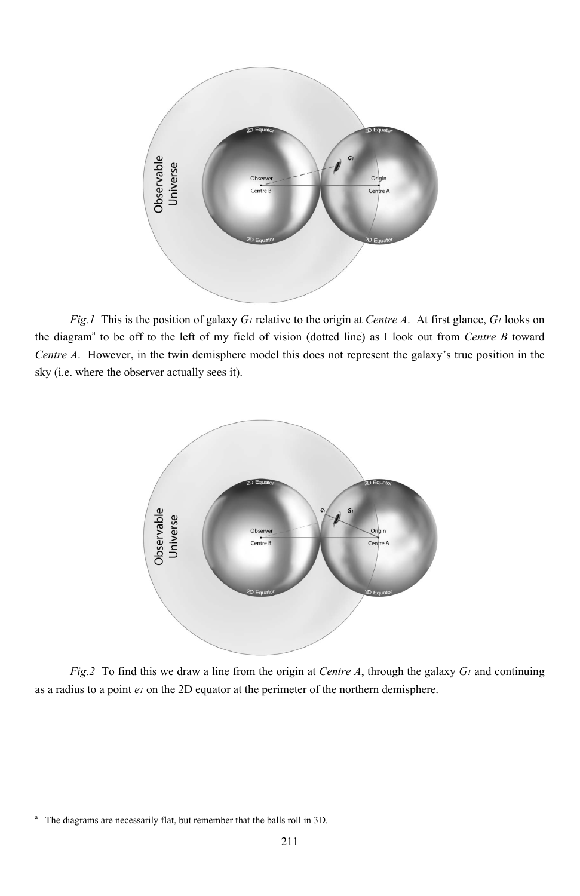

*Fig.1* This is the position of galaxy *G1* relative to the origin at *Centre A*. At first glance, *G1* looks on the diagram<sup>a</sup> to be off to the left of my field of vision (dotted line) as I look out from *Centre B* toward *Centre A*. However, in the twin demisphere model this does not represent the galaxy's true position in the sky (i.e. where the observer actually sees it).



*Fig.2* To find this we draw a line from the origin at *Centre A*, through the galaxy *G1* and continuing as a radius to a point *e1* on the 2D equator at the perimeter of the northern demisphere.

<sup>211</sup>

a The diagrams are necessarily flat, but remember that the balls roll in 3D.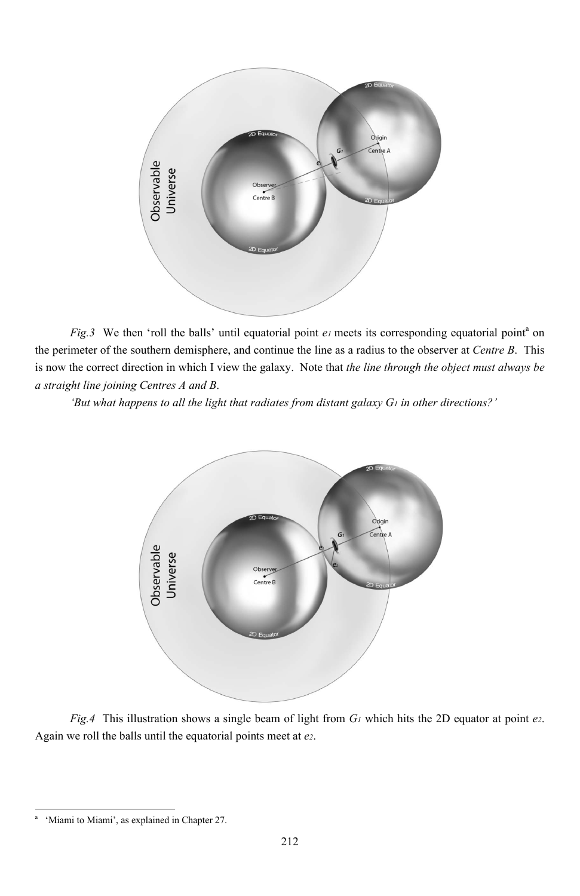

*Fig.3* We then 'roll the balls' until equatorial point *el* meets its corresponding equatorial point<sup>a</sup> on the perimeter of the southern demisphere, and continue the line as a radius to the observer at *Centre B*. This is now the correct direction in which I view the galaxy. Note that *the line through the object must always be a straight line joining Centres A and B*.

*'But what happens to all the light that radiates from distant galaxy G1 in other directions?'* 



*Fig.4* This illustration shows a single beam of light from *G1* which hits the 2D equator at point *e2*. Again we roll the balls until the equatorial points meet at *e2*.

a 'Miami to Miami', as explained in Chapter 27.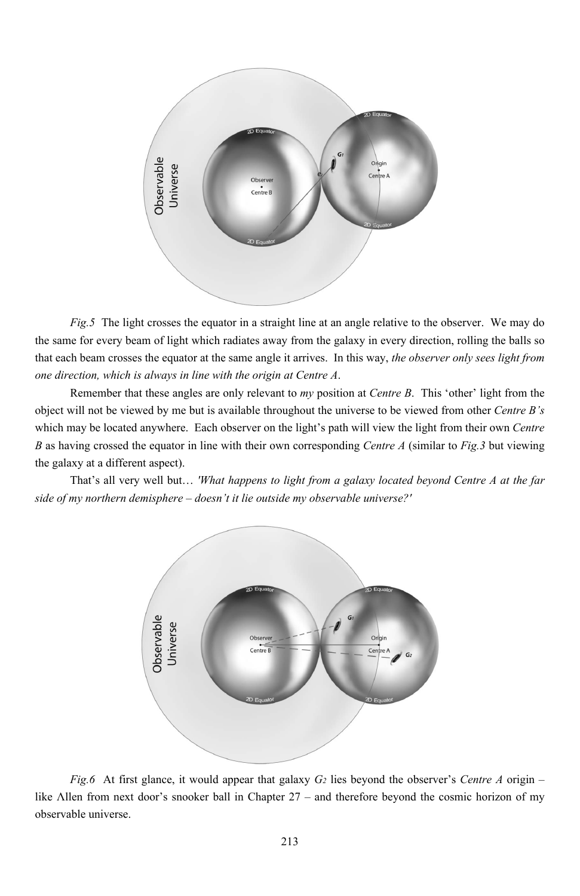

*Fig.5* The light crosses the equator in a straight line at an angle relative to the observer. We may do the same for every beam of light which radiates away from the galaxy in every direction, rolling the balls so that each beam crosses the equator at the same angle it arrives. In this way, *the observer only sees light from one direction, which is always in line with the origin at Centre A*.

Remember that these angles are only relevant to *my* position at *Centre B*. This 'other' light from the object will not be viewed by me but is available throughout the universe to be viewed from other *Centre B's* which may be located anywhere. Each observer on the light's path will view the light from their own *Centre B* as having crossed the equator in line with their own corresponding *Centre A* (similar to *Fig.3* but viewing the galaxy at a different aspect).

That's all very well but… *'What happens to light from a galaxy located beyond Centre A at the far side of my northern demisphere – doesn't it lie outside my observable universe?'* 



*Fig.6* At first glance, it would appear that galaxy *G2* lies beyond the observer's *Centre A* origin – like Allen from next door's snooker ball in Chapter 27 – and therefore beyond the cosmic horizon of my observable universe.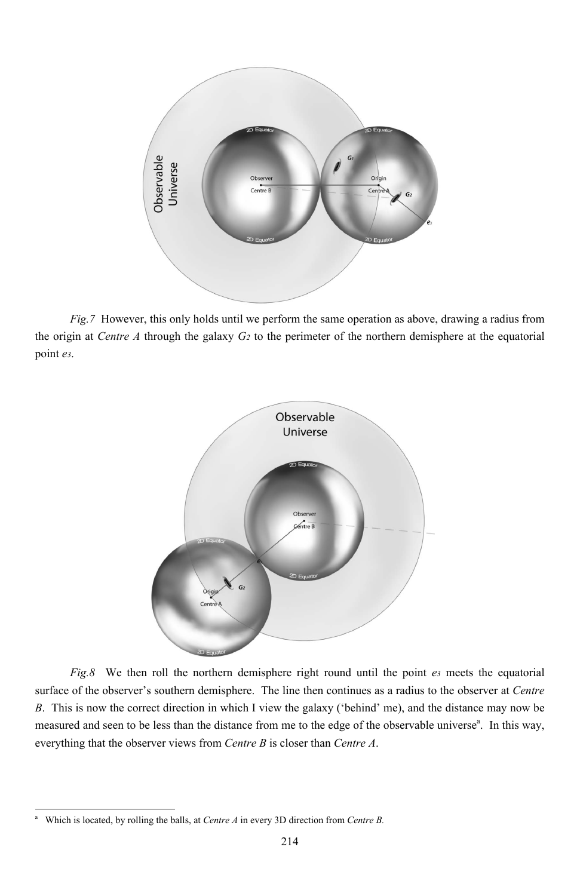

*Fig.7* However, this only holds until we perform the same operation as above, drawing a radius from the origin at *Centre A* through the galaxy *G2* to the perimeter of the northern demisphere at the equatorial point *e3*.



*Fig.8* We then roll the northern demisphere right round until the point *e3* meets the equatorial surface of the observer's southern demisphere. The line then continues as a radius to the observer at *Centre B*. This is now the correct direction in which I view the galaxy ('behind' me), and the distance may now be measured and seen to be less than the distance from me to the edge of the observable universe<sup>a</sup>. In this way, everything that the observer views from *Centre B* is closer than *Centre A*.

<sup>214</sup>

a Which is located, by rolling the balls, at *Centre A* in every 3D direction from *Centre B.*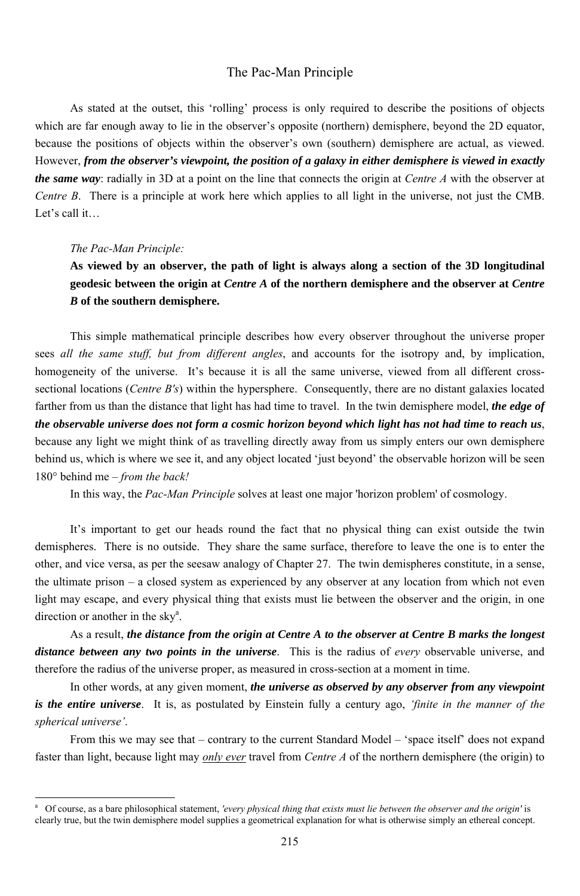As stated at the outset, this 'rolling' process is only required to describe the positions of objects which are far enough away to lie in the observer's opposite (northern) demisphere, beyond the 2D equator, because the positions of objects within the observer's own (southern) demisphere are actual, as viewed. However, *from the observer's viewpoint, the position of a galaxy in either demisphere is viewed in exactly the same way*: radially in 3D at a point on the line that connects the origin at *Centre A* with the observer at *Centre B*. There is a principle at work here which applies to all light in the universe, not just the CMB. Let's call it…

# The Pac-Man Principle

#### *The Pac-Man Principle:*

-

**As viewed by an observer, the path of light is always along a section of the 3D longitudinal geodesic between the origin at** *Centre A* **of the northern demisphere and the observer at** *Centre B* **of the southern demisphere.**

It's important to get our heads round the fact that no physical thing can exist outside the twin demispheres. There is no outside. They share the same surface, therefore to leave the one is to enter the other, and vice versa, as per the seesaw analogy of Chapter 27. The twin demispheres constitute, in a sense, the ultimate prison – a closed system as experienced by any observer at any location from which not even light may escape, and every physical thing that exists must lie between the observer and the origin, in one direction or another in the sky $a$ .

This simple mathematical principle describes how every observer throughout the universe proper sees *all the same stuff, but from different angles*, and accounts for the isotropy and, by implication, homogeneity of the universe. It's because it is all the same universe, viewed from all different crosssectional locations (*Centre B's*) within the hypersphere. Consequently, there are no distant galaxies located farther from us than the distance that light has had time to travel. In the twin demisphere model, *the edge of the observable universe does not form a cosmic horizon beyond which light has not had time to reach us*, because any light we might think of as travelling directly away from us simply enters our own demisphere behind us, which is where we see it, and any object located 'just beyond' the observable horizon will be seen 180° behind me – *from the back!*

In this way, the *Pac-Man Principle* solves at least one major 'horizon problem' of cosmology.

As a result, *the distance from the origin at Centre A to the observer at Centre B marks the longest distance between any two points in the universe*. This is the radius of *every* observable universe, and

therefore the radius of the universe proper, as measured in cross-section at a moment in time.

In other words, at any given moment, *the universe as observed by any observer from any viewpoint is the entire universe*. It is, as postulated by Einstein fully a century ago, *'finite in the manner of the spherical universe'*.

From this we may see that – contrary to the current Standard Model – 'space itself' does not expand faster than light, because light may *only ever* travel from *Centre A* of the northern demisphere (the origin) to

<sup>215</sup>

a Of course, as a bare philosophical statement, *'every physical thing that exists must lie between the observer and the origin'* is clearly true, but the twin demisphere model supplies a geometrical explanation for what is otherwise simply an ethereal concept.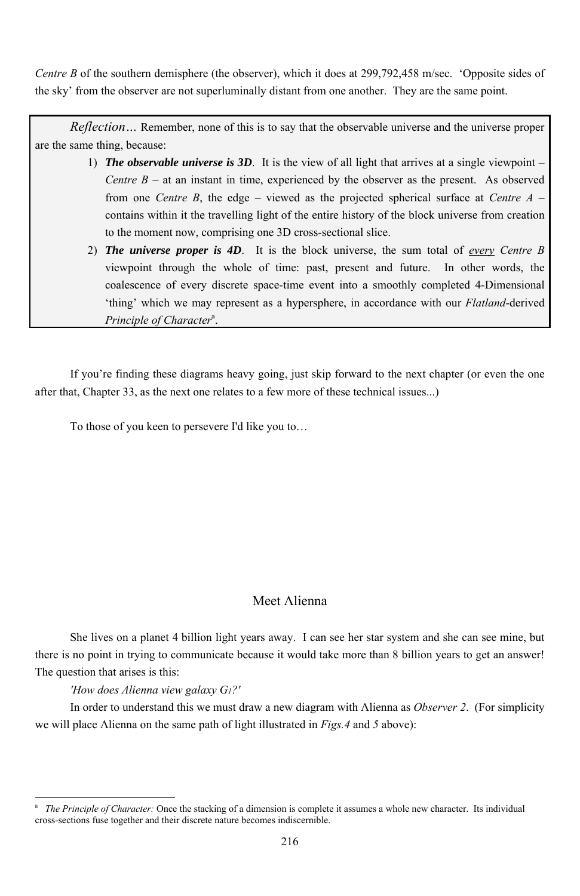*Centre B* of the southern demisphere (the observer), which it does at 299,792,458 m/sec. 'Opposite sides of the sky' from the observer are not superluminally distant from one another. They are the same point.

- 1) *The observable universe is 3D*. It is the view of all light that arrives at a single viewpoint *Centre B* – at an instant in time, experienced by the observer as the present. As observed from one *Centre B*, the edge – viewed as the projected spherical surface at *Centre A* – contains within it the travelling light of the entire history of the block universe from creation to the moment now, comprising one 3D cross-sectional slice.
- 2) *The universe proper is 4D*. It is the block universe, the sum total of *every Centre B* viewpoint through the whole of time: past, present and future. In other words, the coalescence of every discrete space-time event into a smoothly completed 4-Dimensional 'thing' which we may represent as a hypersphere, in accordance with our *Flatland*-derived Principle of Character<sup>a</sup>.

*Reflection…* Remember, none of this is to say that the observable universe and the universe proper are the same thing, because:

If you're finding these diagrams heavy going, just skip forward to the next chapter (or even the one after that, Chapter 33, as the next one relates to a few more of these technical issues...)

To those of you keen to persevere I'd like you to…

# Meet Λlienna

She lives on a planet 4 billion light years away. I can see her star system and she can see mine, but there is no point in trying to communicate because it would take more than 8 billion years to get an answer!

The question that arises is this:

-

*'How does Λlienna view galaxy G1?'*

In order to understand this we must draw a new diagram with Λlienna as *Observer 2*. (For simplicity we will place Λlienna on the same path of light illustrated in *Figs.4* and *5* above):

<sup>216</sup>

a *The Principle of Character:* Once the stacking of a dimension is complete it assumes a whole new character. Its individual cross-sections fuse together and their discrete nature becomes indiscernible.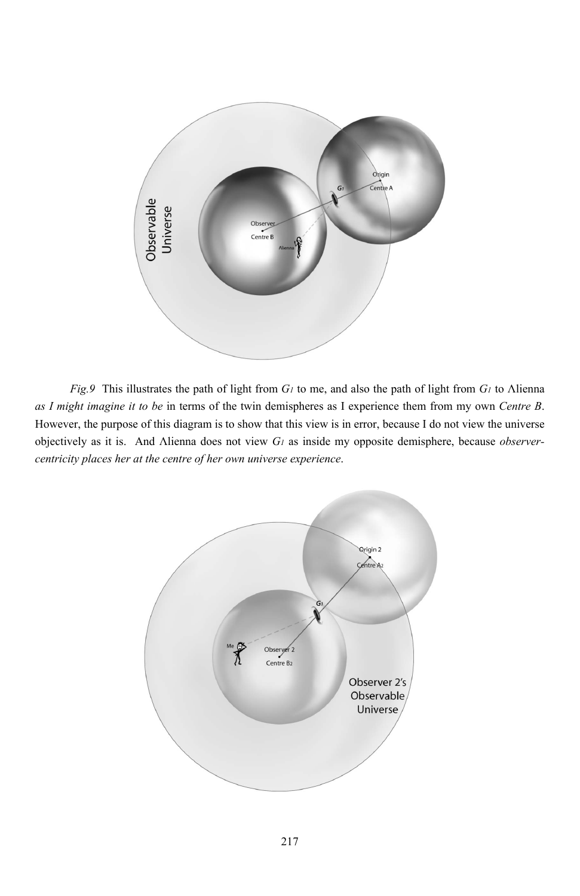

*Fig.9* This illustrates the path of light from *G1* to me, and also the path of light from *G1* to Λlienna *as I might imagine it to be* in terms of the twin demispheres as I experience them from my own *Centre B*. However, the purpose of this diagram is to show that this view is in error, because I do not view the universe objectively as it is. And Λlienna does not view *G1* as inside my opposite demisphere, because *observercentricity places her at the centre of her own universe experience*.

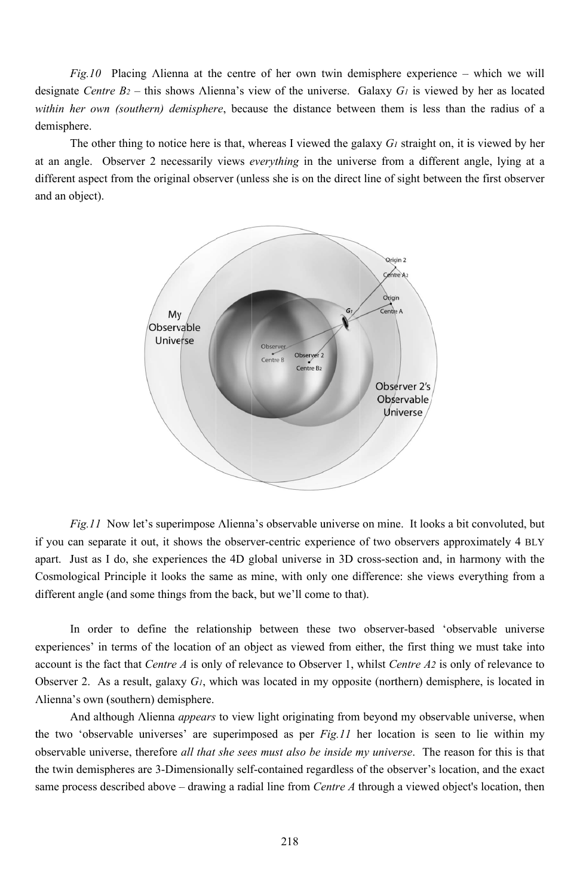designate *Centre B2* – this shows Alienna's view of the universe. Galaxy *G1* is viewed by her as located within her own (southern) demisphere, because the distance between them is less than the radius of a within her own (southern) demisphere, because the distance between them is less than the radius of d demisph here.  $Fig. 10$  Placing Alienna at the centre of her own twin demisphere experience – which we will

at an angle. Observer 2 necessarily views *everything* in the universe from a different angle, lying at a different aspect from the original observer (unless she is on the direct line of sight between the first observer and an object). The other thing to notice here is that, whereas I viewed the galaxy  $G_l$  straight on, it is viewed by her



if you can separate it out, it shows the observer-centric experience of two observers approximately 4 BLY if you can separate it out, it shows the observer-centric experience of two observers approximately 4 BLY<br>apart. Just as I do, she experiences the 4D global universe in 3D cross-section and, in harmony with the Cosmological Principle it looks the same as mine, with only one difference: she views everything from a different angle (and some things from the back, but we'll come to that). *Fig.11* Now let's superimpose Alienna's observable universe on mine. It looks a bit convoluted, but

experiences' in terms of the location of an object as viewed from either, the first thing we must take into experiences' in terms of the location of an object as viewed from either, the first thing we must take into account is the fact that *Centre A* is only of relevance to Observer 1, whilst *Centre A2* is only of relevance to In order to define the relationship between these two observer-based 'observable universe

Observer 2. As a result, galaxy  $G_l$ , which was located in my opposite (northern) demisphere, is located in Alienna's own (southern) demisphere.

the two 'observable universes' are superimposed as per *Fig.11* her location is seen to lie within my observable universe, therefore all that she sees must also be inside my universe. The reason for this is tha the twin demispheres are 3-Dimensionally self-contained regardless of the observer's location, and the exact same process described above – drawing a radial line from *Centre A* through a viewed object's location, then And although Alienna *appears* to view light originating from beyond my observable universe, when en<br>1y<br>at

2 18